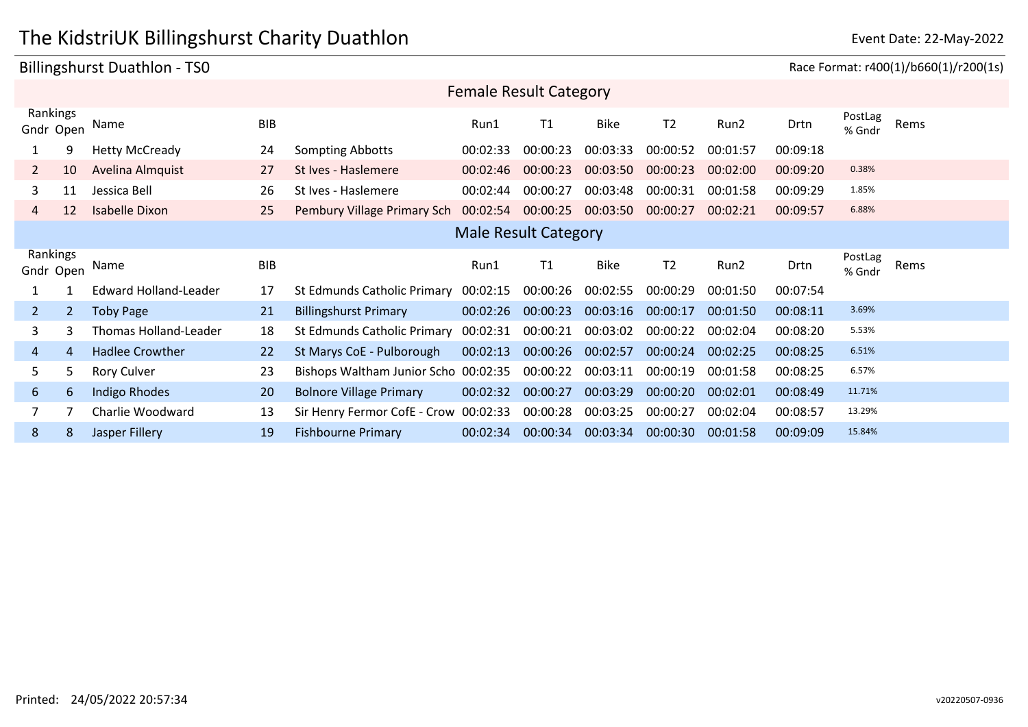# The KidstriUK Billingshurst Charity Duathlon **Example 2008** Event Date: 22-May-2022

| Billingshurst Duathlon - TS0 |                |                              |            |                                       |          |                               |             |                                                                                                                                                                                                                                                                                 |          |          |                   |      |
|------------------------------|----------------|------------------------------|------------|---------------------------------------|----------|-------------------------------|-------------|---------------------------------------------------------------------------------------------------------------------------------------------------------------------------------------------------------------------------------------------------------------------------------|----------|----------|-------------------|------|
|                              |                |                              |            |                                       |          | <b>Female Result Category</b> |             |                                                                                                                                                                                                                                                                                 |          |          |                   |      |
| Rankings<br>Gndr Open        |                | Name                         | <b>BIB</b> |                                       | Run1     | T1                            | <b>Bike</b> | T <sub>2</sub>                                                                                                                                                                                                                                                                  | Run2     | Drtn     | PostLag<br>% Gndr | Rems |
|                              | 9              | <b>Hetty McCready</b>        | 24         | Sompting Abbotts                      | 00:02:33 | 00:00:23                      | 00:03:33    | 00:00:52                                                                                                                                                                                                                                                                        | 00:01:57 | 00:09:18 |                   |      |
| 2                            | 10             | Avelina Almquist             | 27         | St Ives - Haslemere                   | 00:02:46 | 00:00:23                      | 00:03:50    | 00:00:23                                                                                                                                                                                                                                                                        | 00:02:00 | 00:09:20 | 0.38%             |      |
| 3                            | 11             | Jessica Bell                 | 26         | St Ives - Haslemere                   | 00:02:44 | 00:00:27                      | 00:03:48    | 00:00:31                                                                                                                                                                                                                                                                        | 00:01:58 | 00:09:29 | 1.85%             |      |
| 4                            | 12             | <b>Isabelle Dixon</b>        | 25         | Pembury Village Primary Sch           | 00:02:54 | 00:00:25                      | 00:03:50    | 00:00:27                                                                                                                                                                                                                                                                        | 00:02:21 | 00:09:57 | 6.88%             |      |
|                              |                |                              |            |                                       |          | <b>Male Result Category</b>   |             | Race Format: r400(1)/b660(1)/r200(1s)<br>PostLag<br>T <sub>2</sub><br>Rems<br>Run2<br>Drtn<br>% Gndr<br>00:00:29<br>00:01:50<br>00:07:54<br>3.69%<br>00:00:17<br>00:01:50<br>00:08:11<br>5.53%<br>00:00:22<br>00:02:04<br>00:08:20<br>6.51%<br>00:00:24<br>00:02:25<br>00:08:25 |          |          |                   |      |
| Rankings<br>Gndr Open        |                | Name                         | <b>BIB</b> |                                       | Run1     | T1                            | Bike        |                                                                                                                                                                                                                                                                                 |          |          |                   |      |
|                              |                | <b>Edward Holland-Leader</b> | 17         | <b>St Edmunds Catholic Primary</b>    | 00:02:15 | 00:00:26                      | 00:02:55    |                                                                                                                                                                                                                                                                                 |          |          |                   |      |
| $\overline{2}$               | $\overline{2}$ | <b>Toby Page</b>             | 21         | <b>Billingshurst Primary</b>          | 00:02:26 | 00:00:23                      | 00:03:16    |                                                                                                                                                                                                                                                                                 |          |          |                   |      |
| 3                            | 3              | Thomas Holland-Leader        | 18         | St Edmunds Catholic Primary           | 00:02:31 | 00:00:21                      | 00:03:02    |                                                                                                                                                                                                                                                                                 |          |          |                   |      |
| 4                            | 4              | <b>Hadlee Crowther</b>       | 22         | St Marys CoE - Pulborough             | 00:02:13 | 00:00:26                      | 00:02:57    |                                                                                                                                                                                                                                                                                 |          |          |                   |      |
| 5.                           | 5.             | <b>Rory Culver</b>           | 23         | Bishops Waltham Junior Scho 00:02:35  |          | 00:00:22                      | 00:03:11    | 00:00:19                                                                                                                                                                                                                                                                        | 00:01:58 | 00:08:25 | 6.57%             |      |
| 6                            | 6              | Indigo Rhodes                | 20         | <b>Bolnore Village Primary</b>        | 00:02:32 | 00:00:27                      | 00:03:29    | 00:00:20                                                                                                                                                                                                                                                                        | 00:02:01 | 00:08:49 | 11.71%            |      |
|                              |                | Charlie Woodward             | 13         | Sir Henry Fermor CofE - Crow 00:02:33 |          | 00:00:28                      | 00:03:25    | 00:00:27                                                                                                                                                                                                                                                                        | 00:02:04 | 00:08:57 | 13.29%            |      |
| 8                            | 8              | Jasper Fillery               | 19         | <b>Fishbourne Primary</b>             | 00:02:34 | 00:00:34                      |             | 00:03:34 00:00:30                                                                                                                                                                                                                                                               | 00:01:58 | 00:09:09 | 15.84%            |      |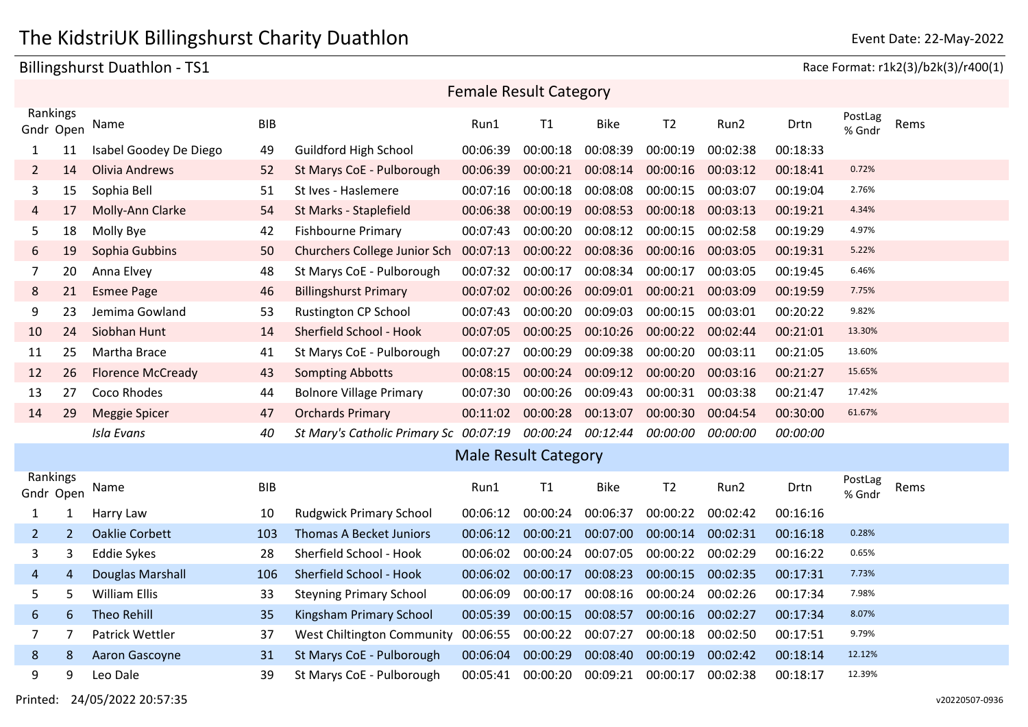### Billingshurst Duathlon - TS1 Race Format: r1k2(3)/b2k(3)/r400(1)

| <b>Female Result Category</b> |                |                          |            |                                        |          |                             |                                     |                |          |          |                   |      |
|-------------------------------|----------------|--------------------------|------------|----------------------------------------|----------|-----------------------------|-------------------------------------|----------------|----------|----------|-------------------|------|
| Rankings<br>Gndr Open         |                | Name                     | <b>BIB</b> |                                        | Run1     | T1                          | <b>Bike</b>                         | T <sub>2</sub> | Run2     | Drtn     | PostLag<br>% Gndr | Rems |
| 1                             | 11             | Isabel Goodey De Diego   | 49         | <b>Guildford High School</b>           | 00:06:39 | 00:00:18                    | 00:08:39                            | 00:00:19       | 00:02:38 | 00:18:33 |                   |      |
| $\overline{2}$                | 14             | <b>Olivia Andrews</b>    | 52         | St Marys CoE - Pulborough              | 00:06:39 | 00:00:21                    | 00:08:14                            | 00:00:16       | 00:03:12 | 00:18:41 | 0.72%             |      |
| 3                             | 15             | Sophia Bell              | 51         | St Ives - Haslemere                    | 00:07:16 | 00:00:18                    | 00:08:08                            | 00:00:15       | 00:03:07 | 00:19:04 | 2.76%             |      |
| 4                             | 17             | Molly-Ann Clarke         | 54         | St Marks - Staplefield                 | 00:06:38 | 00:00:19                    | 00:08:53                            | 00:00:18       | 00:03:13 | 00:19:21 | 4.34%             |      |
| 5                             | 18             | Molly Bye                | 42         | <b>Fishbourne Primary</b>              | 00:07:43 | 00:00:20                    | 00:08:12                            | 00:00:15       | 00:02:58 | 00:19:29 | 4.97%             |      |
| 6                             | 19             | Sophia Gubbins           | 50         | Churchers College Junior Sch           | 00:07:13 | 00:00:22                    | 00:08:36                            | 00:00:16       | 00:03:05 | 00:19:31 | 5.22%             |      |
| 7                             | 20             | Anna Elvey               | 48         | St Marys CoE - Pulborough              | 00:07:32 | 00:00:17                    | 00:08:34                            | 00:00:17       | 00:03:05 | 00:19:45 | 6.46%             |      |
| 8                             | 21             | <b>Esmee Page</b>        | 46         | <b>Billingshurst Primary</b>           | 00:07:02 | 00:00:26                    | 00:09:01                            | 00:00:21       | 00:03:09 | 00:19:59 | 7.75%             |      |
| 9                             | 23             | Jemima Gowland           | 53         | <b>Rustington CP School</b>            | 00:07:43 | 00:00:20                    | 00:09:03                            | 00:00:15       | 00:03:01 | 00:20:22 | 9.82%             |      |
| 10                            | 24             | Siobhan Hunt             | 14         | Sherfield School - Hook                | 00:07:05 | 00:00:25                    | 00:10:26                            | 00:00:22       | 00:02:44 | 00:21:01 | 13.30%            |      |
| 11                            | 25             | Martha Brace             | 41         | St Marys CoE - Pulborough              | 00:07:27 | 00:00:29                    | 00:09:38                            | 00:00:20       | 00:03:11 | 00:21:05 | 13.60%            |      |
| 12                            | 26             | <b>Florence McCready</b> | 43         | <b>Sompting Abbotts</b>                | 00:08:15 | 00:00:24                    | 00:09:12                            | 00:00:20       | 00:03:16 | 00:21:27 | 15.65%            |      |
| 13                            | 27             | Coco Rhodes              | 44         | <b>Bolnore Village Primary</b>         | 00:07:30 | 00:00:26                    | 00:09:43                            | 00:00:31       | 00:03:38 | 00:21:47 | 17.42%            |      |
| 14                            | 29             | <b>Meggie Spicer</b>     | 47         | <b>Orchards Primary</b>                | 00:11:02 | 00:00:28                    | 00:13:07                            | 00:00:30       | 00:04:54 | 00:30:00 | 61.67%            |      |
|                               |                | <b>Isla Evans</b>        | 40         | St Mary's Catholic Primary Sc 00:07:19 |          |                             | 00:00:24 00:12:44 00:00:00 00:00:00 |                |          | 00:00:00 |                   |      |
|                               |                |                          |            |                                        |          | <b>Male Result Category</b> |                                     |                |          |          |                   |      |
| Rankings<br>Gndr Open         |                | Name                     | <b>BIB</b> |                                        | Run1     | T1                          | <b>Bike</b>                         | T <sub>2</sub> | Run2     | Drtn     | PostLag<br>% Gndr | Rems |
| 1                             | 1              | Harry Law                | 10         | <b>Rudgwick Primary School</b>         | 00:06:12 | 00:00:24                    | 00:06:37                            | 00:00:22       | 00:02:42 | 00:16:16 |                   |      |
| 2                             | $\overline{2}$ | <b>Oaklie Corbett</b>    | 103        | <b>Thomas A Becket Juniors</b>         | 00:06:12 | 00:00:21                    | 00:07:00                            | 00:00:14       | 00:02:31 | 00:16:18 | 0.28%             |      |
| 3                             | 3              | <b>Eddie Sykes</b>       | 28         | Sherfield School - Hook                | 00:06:02 | 00:00:24                    | 00:07:05                            | 00:00:22       | 00:02:29 | 00:16:22 | 0.65%             |      |
| 4                             | 4              | <b>Douglas Marshall</b>  | 106        | Sherfield School - Hook                | 00:06:02 | 00:00:17                    | 00:08:23                            | 00:00:15       | 00:02:35 | 00:17:31 | 7.73%             |      |
| 5                             | 5              | <b>William Ellis</b>     | 33         | <b>Steyning Primary School</b>         | 00:06:09 | 00:00:17                    | 00:08:16                            | 00:00:24       | 00:02:26 | 00:17:34 | 7.98%             |      |
| 6                             | 6              | <b>Theo Rehill</b>       | 35         | Kingsham Primary School                | 00:05:39 | 00:00:15                    | 00:08:57                            | 00:00:16       | 00:02:27 | 00:17:34 | 8.07%             |      |
| $\overline{7}$                | 7              | Patrick Wettler          | 37         | West Chiltington Community             | 00:06:55 | 00:00:22                    | 00:07:27                            | 00:00:18       | 00:02:50 | 00:17:51 | 9.79%             |      |
| 8                             | 8              | Aaron Gascoyne           | 31         | St Marys CoE - Pulborough              | 00:06:04 | 00:00:29                    | 00:08:40                            | 00:00:19       | 00:02:42 | 00:18:14 | 12.12%            |      |
| 9                             | 9              | Leo Dale                 | 39         | St Marys CoE - Pulborough              | 00:05:41 | 00:00:20                    | 00:09:21                            | 00:00:17       | 00:02:38 | 00:18:17 | 12.39%            |      |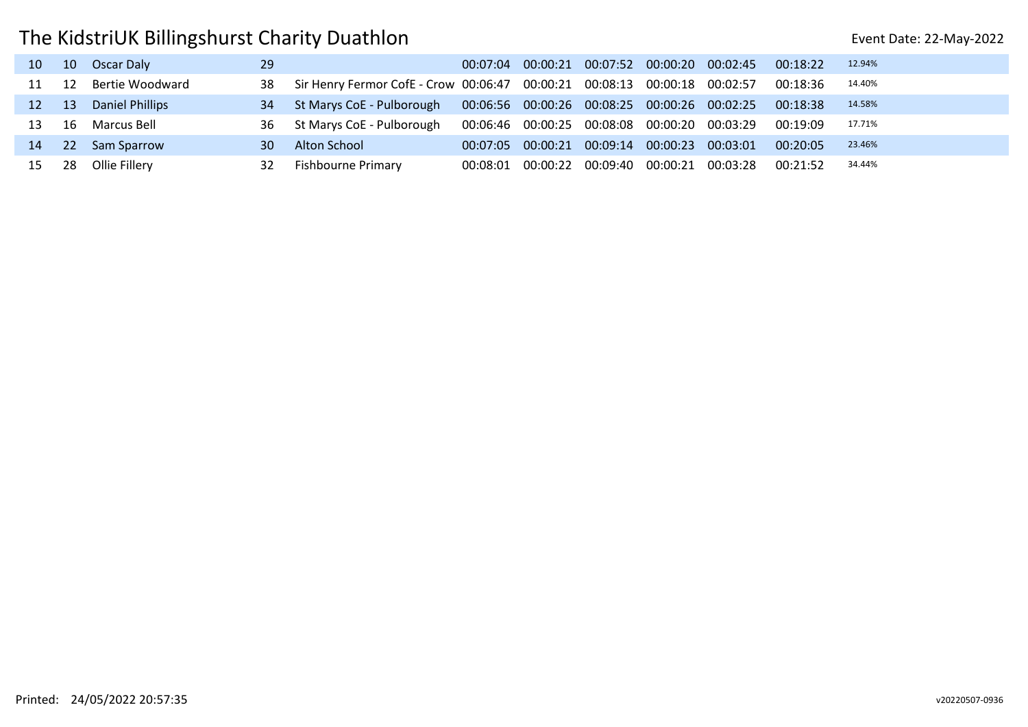| 10 <sup>1</sup> | 10 Oscar Daly         | 29 |                                                                                       |  |  | 00:07:04 00:00:21 00:07:52 00:00:20 00:02:45 00:18:22      |          | 12.94% |
|-----------------|-----------------------|----|---------------------------------------------------------------------------------------|--|--|------------------------------------------------------------|----------|--------|
|                 | 11 12 Bertie Woodward | 38 | Sir Henry Fermor CofE - Crow 00:06:47 00:00:21 00:08:13 00:00:18 00:02:57 00:18:36    |  |  |                                                            |          | 14.40% |
|                 | 12 13 Daniel Phillips | 34 | St Marys CoE - Pulborough  00:06:56  00:00:26  00:08:25  00:00:26  00:02:25  00:18:38 |  |  |                                                            |          | 14.58% |
|                 | 13 16 Marcus Bell     | 36 | St Marys CoE - Pulborough                                                             |  |  | 00:06:46  00:00:25  00:08:08  00:00:20  00:03:29  00:19:09 |          | 17.71% |
|                 | 14 22 Sam Sparrow     | 30 | Alton School                                                                          |  |  | 00:07:05  00:00:21  00:09:14  00:00:23  00:03:01           | 00:20:05 | 23.46% |
|                 | 15 28 Ollie Fillery   | 32 | <b>Fishbourne Primary</b>                                                             |  |  | 00:08:01  00:00:22  00:09:40  00:00:21  00:03:28           | 00:21:52 | 34.44% |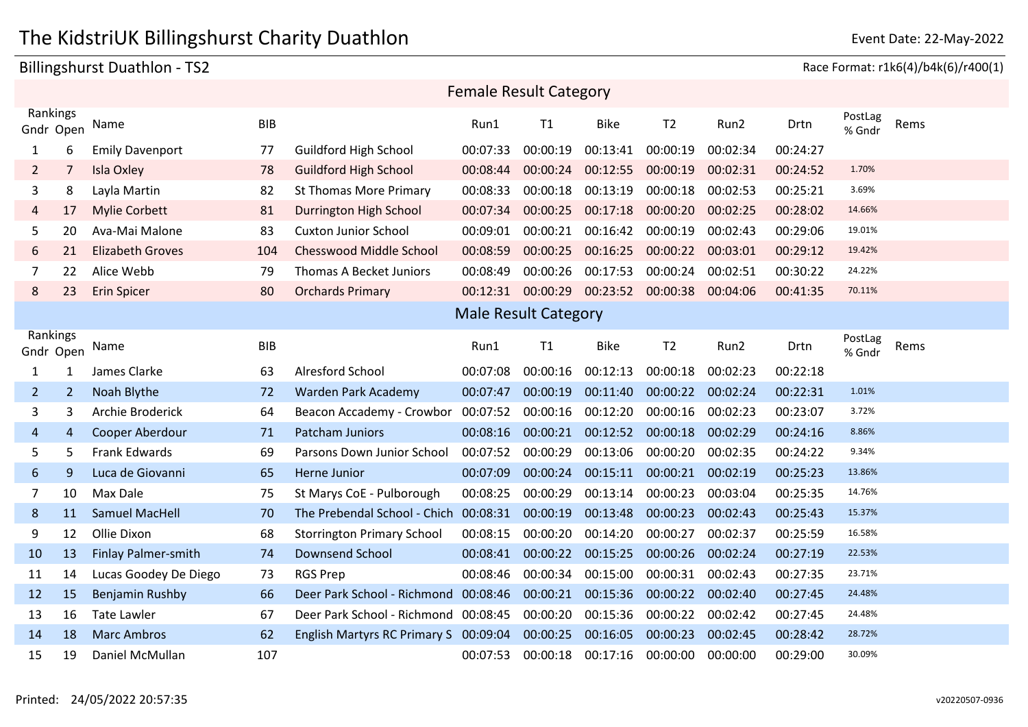### Billingshurst Duathlon - TS2 Race Format: r1k6(4)/b4k(6)/r400(1)

| <b>Female Result Category</b> |                |                            |            |                                       |          |                             |             |                   |          |          |                   |      |
|-------------------------------|----------------|----------------------------|------------|---------------------------------------|----------|-----------------------------|-------------|-------------------|----------|----------|-------------------|------|
| Rankings<br>Gndr Open         |                | Name                       | <b>BIB</b> |                                       | Run1     | T1                          | <b>Bike</b> | T <sub>2</sub>    | Run2     | Drtn     | PostLag<br>% Gndr | Rems |
| $\mathbf{1}$                  | 6              | <b>Emily Davenport</b>     | 77         | <b>Guildford High School</b>          | 00:07:33 | 00:00:19                    | 00:13:41    | 00:00:19          | 00:02:34 | 00:24:27 |                   |      |
| $\overline{2}$                | 7              | <b>Isla Oxley</b>          | 78         | <b>Guildford High School</b>          | 00:08:44 | 00:00:24                    | 00:12:55    | 00:00:19          | 00:02:31 | 00:24:52 | 1.70%             |      |
| 3                             | 8              | Layla Martin               | 82         | <b>St Thomas More Primary</b>         | 00:08:33 | 00:00:18                    | 00:13:19    | 00:00:18          | 00:02:53 | 00:25:21 | 3.69%             |      |
| 4                             | 17             | <b>Mylie Corbett</b>       | 81         | Durrington High School                | 00:07:34 | 00:00:25                    | 00:17:18    | 00:00:20          | 00:02:25 | 00:28:02 | 14.66%            |      |
| 5                             | 20             | Ava-Mai Malone             | 83         | <b>Cuxton Junior School</b>           | 00:09:01 | 00:00:21                    | 00:16:42    | 00:00:19          | 00:02:43 | 00:29:06 | 19.01%            |      |
| 6                             | 21             | <b>Elizabeth Groves</b>    | 104        | <b>Chesswood Middle School</b>        | 00:08:59 | 00:00:25                    | 00:16:25    | 00:00:22 00:03:01 |          | 00:29:12 | 19.42%            |      |
| 7                             | 22             | Alice Webb                 | 79         | <b>Thomas A Becket Juniors</b>        | 00:08:49 | 00:00:26                    | 00:17:53    | 00:00:24          | 00:02:51 | 00:30:22 | 24.22%            |      |
| 8                             | 23             | <b>Erin Spicer</b>         | 80         | <b>Orchards Primary</b>               | 00:12:31 | 00:00:29                    | 00:23:52    | 00:00:38          | 00:04:06 | 00:41:35 | 70.11%            |      |
|                               |                |                            |            |                                       |          | <b>Male Result Category</b> |             |                   |          |          |                   |      |
| Rankings<br>Gndr Open         |                | Name                       | <b>BIB</b> |                                       | Run1     | T1                          | <b>Bike</b> | T <sub>2</sub>    | Run2     | Drtn     | PostLag<br>% Gndr | Rems |
| $\mathbf{1}$                  | 1              | James Clarke               | 63         | <b>Alresford School</b>               | 00:07:08 | 00:00:16                    | 00:12:13    | 00:00:18          | 00:02:23 | 00:22:18 |                   |      |
| $\overline{2}$                | $\overline{2}$ | Noah Blythe                | 72         | Warden Park Academy                   | 00:07:47 | 00:00:19                    | 00:11:40    | 00:00:22          | 00:02:24 | 00:22:31 | 1.01%             |      |
| 3                             | 3              | Archie Broderick           | 64         | Beacon Accademy - Crowbor             | 00:07:52 | 00:00:16                    | 00:12:20    | 00:00:16          | 00:02:23 | 00:23:07 | 3.72%             |      |
| 4                             | 4              | Cooper Aberdour            | 71         | Patcham Juniors                       | 00:08:16 | 00:00:21                    | 00:12:52    | 00:00:18          | 00:02:29 | 00:24:16 | 8.86%             |      |
| 5                             | 5.             | Frank Edwards              | 69         | Parsons Down Junior School            | 00:07:52 | 00:00:29                    | 00:13:06    | 00:00:20          | 00:02:35 | 00:24:22 | 9.34%             |      |
| 6                             | 9              | Luca de Giovanni           | 65         | Herne Junior                          | 00:07:09 | 00:00:24                    | 00:15:11    | 00:00:21          | 00:02:19 | 00:25:23 | 13.86%            |      |
| $\overline{7}$                | 10             | Max Dale                   | 75         | St Marys CoE - Pulborough             | 00:08:25 | 00:00:29                    | 00:13:14    | 00:00:23          | 00:03:04 | 00:25:35 | 14.76%            |      |
| 8                             | 11             | <b>Samuel MacHell</b>      | 70         | The Prebendal School - Chich          | 00:08:31 | 00:00:19                    | 00:13:48    | 00:00:23          | 00:02:43 | 00:25:43 | 15.37%            |      |
| 9                             | 12             | Ollie Dixon                | 68         | <b>Storrington Primary School</b>     | 00:08:15 | 00:00:20                    | 00:14:20    | 00:00:27          | 00:02:37 | 00:25:59 | 16.58%            |      |
| 10                            | 13             | <b>Finlay Palmer-smith</b> | 74         | <b>Downsend School</b>                | 00:08:41 | 00:00:22                    | 00:15:25    | 00:00:26          | 00:02:24 | 00:27:19 | 22.53%            |      |
| 11                            | 14             | Lucas Goodey De Diego      | 73         | <b>RGS Prep</b>                       | 00:08:46 | 00:00:34                    | 00:15:00    | 00:00:31          | 00:02:43 | 00:27:35 | 23.71%            |      |
| 12                            | 15             | Benjamin Rushby            | 66         | Deer Park School - Richmond           | 00:08:46 | 00:00:21                    | 00:15:36    | 00:00:22          | 00:02:40 | 00:27:45 | 24.48%            |      |
| 13                            | 16             | <b>Tate Lawler</b>         | 67         | Deer Park School - Richmond 00:08:45  |          | 00:00:20                    | 00:15:36    | 00:00:22          | 00:02:42 | 00:27:45 | 24.48%            |      |
| 14                            | 18             | <b>Marc Ambros</b>         | 62         | English Martyrs RC Primary S 00:09:04 |          | 00:00:25                    | 00:16:05    | 00:00:23          | 00:02:45 | 00:28:42 | 28.72%            |      |
| 15                            | 19             | Daniel McMullan            | 107        |                                       | 00:07:53 | 00:00:18                    | 00:17:16    | 00:00:00          | 00:00:00 | 00:29:00 | 30.09%            |      |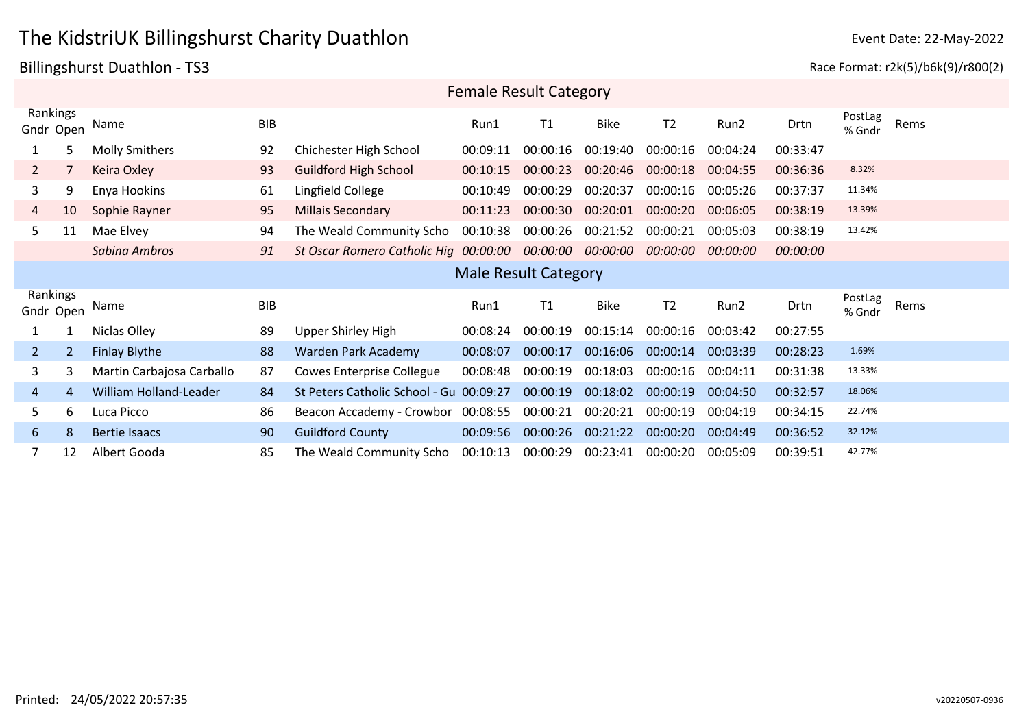### Billingshurst Duathlon - TS3 **Race Format: r2k(5)/b6k(9)/r800(2**

| <b>Female Result Category</b>    |                           |            |                                                         |          |                             |             |                |          |          |                   |      |
|----------------------------------|---------------------------|------------|---------------------------------------------------------|----------|-----------------------------|-------------|----------------|----------|----------|-------------------|------|
| Rankings<br>Gndr Open            | Name                      | <b>BIB</b> |                                                         | Run1     | T1                          | <b>Bike</b> | T <sub>2</sub> | Run2     | Drtn     | PostLag<br>% Gndr | Rems |
| 5                                | <b>Molly Smithers</b>     | 92         | Chichester High School                                  | 00:09:11 | 00:00:16                    | 00:19:40    | 00:00:16       | 00:04:24 | 00:33:47 |                   |      |
| $\overline{2}$                   | Keira Oxley               | 93         | <b>Guildford High School</b>                            | 00:10:15 | 00:00:23                    | 00:20:46    | 00:00:18       | 00:04:55 | 00:36:36 | 8.32%             |      |
| 3<br>9                           | Enya Hookins              | 61         | Lingfield College                                       | 00:10:49 | 00:00:29                    | 00:20:37    | 00:00:16       | 00:05:26 | 00:37:37 | 11.34%            |      |
| 10<br>4                          | Sophie Rayner             | 95         | <b>Millais Secondary</b>                                | 00:11:23 | 00:00:30                    | 00:20:01    | 00:00:20       | 00:06:05 | 00:38:19 | 13.39%            |      |
| 5<br>11                          | Mae Elvey                 | 94         | The Weald Community Scho                                | 00:10:38 | 00:00:26                    | 00:21:52    | 00:00:21       | 00:05:03 | 00:38:19 | 13.42%            |      |
|                                  | Sabina Ambros             | 91         | St Oscar Romero Catholic Hig 00:00:00 00:00:00 00:00:00 |          |                             |             | 00:00:00       | 00:00:00 | 00:00:00 |                   |      |
|                                  |                           |            |                                                         |          |                             |             |                |          |          |                   |      |
|                                  |                           |            |                                                         |          | <b>Male Result Category</b> |             |                |          |          |                   |      |
| Rankings<br>Gndr Open            | Name                      | <b>BIB</b> |                                                         | Run1     | T1                          | <b>Bike</b> | T <sub>2</sub> | Run2     | Drtn     | PostLag<br>% Gndr | Rems |
|                                  | Niclas Olley              | 89         | Upper Shirley High                                      | 00:08:24 | 00:00:19                    | 00:15:14    | 00:00:16       | 00:03:42 | 00:27:55 |                   |      |
| $\overline{2}$<br>$\overline{2}$ | <b>Finlay Blythe</b>      | 88         | Warden Park Academy                                     | 00:08:07 | 00:00:17                    | 00:16:06    | 00:00:14       | 00:03:39 | 00:28:23 | 1.69%             |      |
| 3<br>3                           | Martin Carbajosa Carballo | 87         | <b>Cowes Enterprise Collegue</b>                        | 00:08:48 | 00:00:19                    | 00:18:03    | 00:00:16       | 00:04:11 | 00:31:38 | 13.33%            |      |
| 4<br>4                           | William Holland-Leader    | 84         | St Peters Catholic School - Gu 00:09:27                 |          | 00:00:19                    | 00:18:02    | 00:00:19       | 00:04:50 | 00:32:57 | 18.06%            |      |
| 6<br>5                           | Luca Picco                | 86         | Beacon Accademy - Crowbor 00:08:55                      |          | 00:00:21                    | 00:20:21    | 00:00:19       | 00:04:19 | 00:34:15 | 22.74%            |      |
| 6<br>8                           | <b>Bertie Isaacs</b>      | 90         | <b>Guildford County</b>                                 | 00:09:56 | 00:00:26                    | 00:21:22    | 00:00:20       | 00:04:49 | 00:36:52 | 32.12%            |      |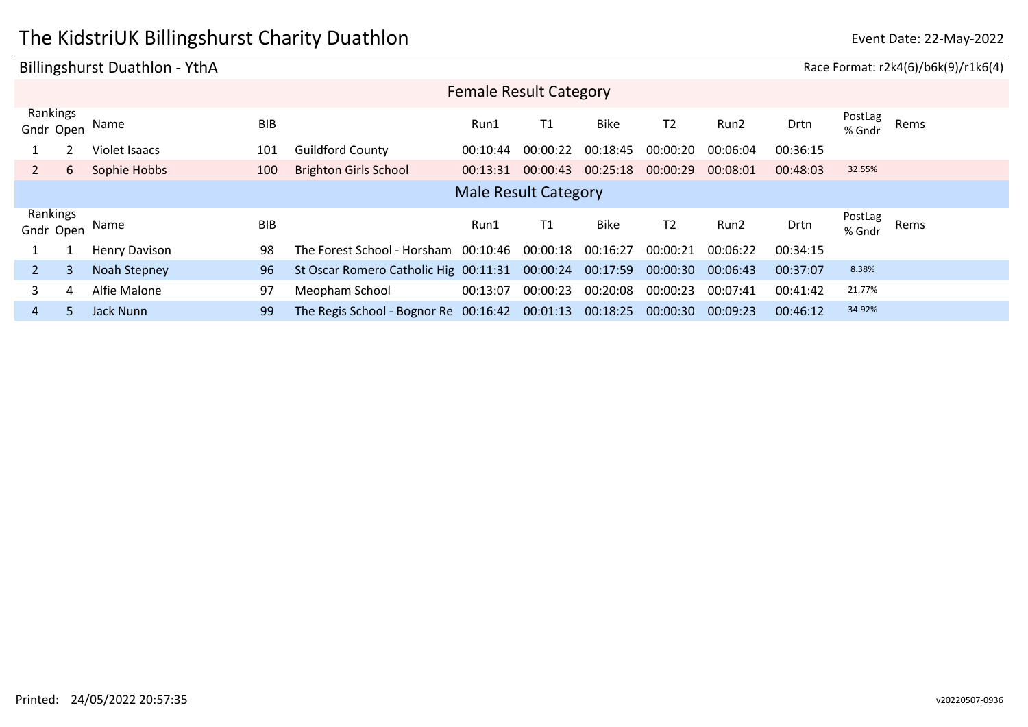## The KidstriUK Billingshurst Charity Duathlon **Example 2018** Event Date: 22-May-2022

### Billingshurst Duathlon - YthA Race Format: r2k4(6)/b6k(9)/r1k6(4) Gndr Open Name BIB Drtn PostLag PostLag<br>% Gndr Rems Rankings Female Result Category Run1 T1 Bike T2 Run2 1 2 Violet Isaacs 101 Guildford County 00:10:44 00:00:22 00:18:45 00:00:20 00:06:04 00:36:15 2 6 Sophie Hobbs 100 Brighton Girls School 00:13:31 00:00:43 00:25:18 00:00:29 00:08:01 00:48:03 32.55% Gndr Open Name BIB Drtn PostLag PostLag<br>% Gndr Rems Rankings Male Result Category Run1 T1 Bike T2 Run2 1 1 Henry Davison 98 The Forest School - Horsham 00:10:46 00:00:18 00:16:27 00:00:21 00:06:22 00:34:15 2 3 Noah Stepney 96 St Oscar Romero Catholic Hig 00:11:31 00:00:24 00:17:59 00:00:30 00:06:43 00:37:07 8.38% 3 4 Alfie Malone 97 Meopham School 00:13:07 00:00:23 00:20:08 00:00:23 00:07:41 00:41:42 21.77% 4 5 Jack Nunn 99 The Regis School - Bognor Re 00:16:42 00:01:13 00:18:25 00:00:30 00:09:23 00:46:12 34.92%